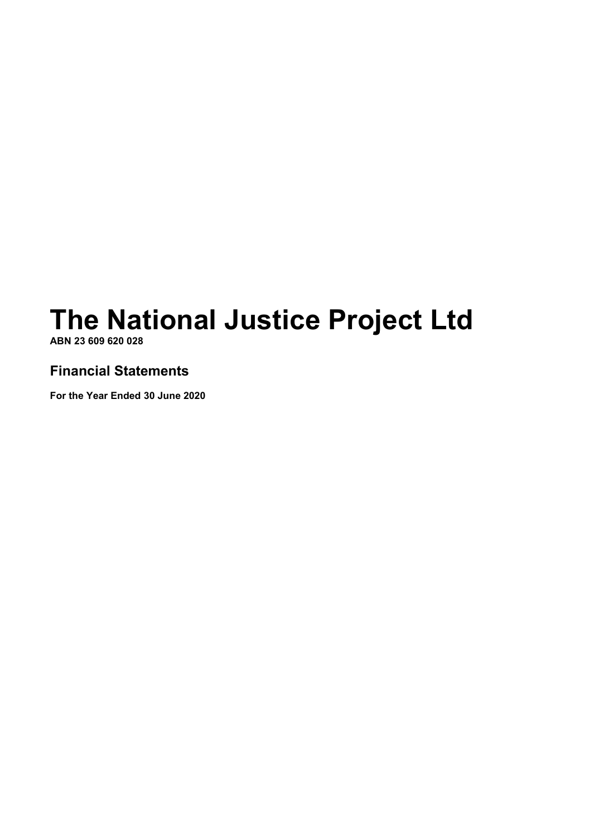# **The National Justice Project Ltd**

**ABN 23 609 620 028** 

## **Financial Statements**

**For the Year Ended 30 June 2020**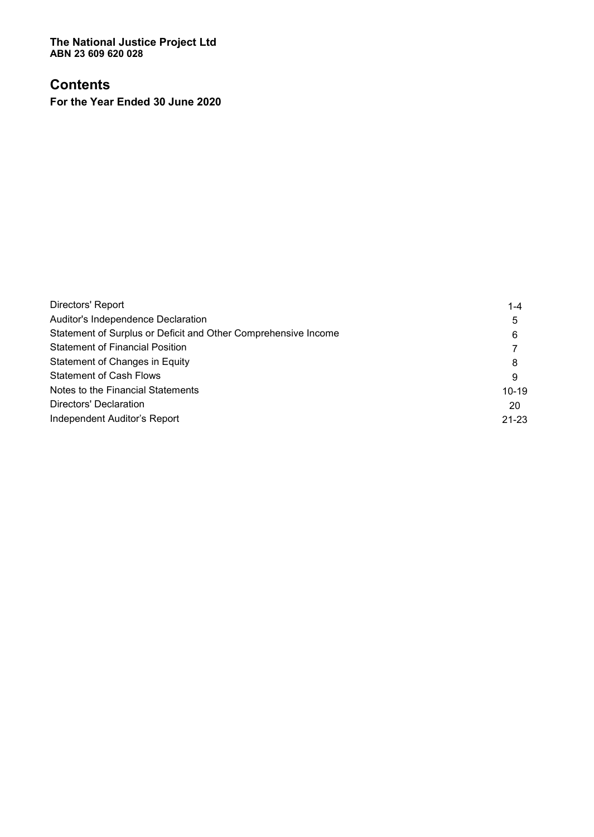**The National Justice Project Ltd ABN 23 609 620 028** 

# **Contents**

**For the Year Ended 30 June 2020** 

| Directors' Report                                              | 1-4       |
|----------------------------------------------------------------|-----------|
| Auditor's Independence Declaration                             | 5         |
| Statement of Surplus or Deficit and Other Comprehensive Income | 6         |
| <b>Statement of Financial Position</b>                         |           |
| Statement of Changes in Equity                                 | 8         |
| <b>Statement of Cash Flows</b>                                 | 9         |
| Notes to the Financial Statements                              | $10 - 19$ |
| Directors' Declaration                                         | 20        |
| Independent Auditor's Report                                   | $21 - 23$ |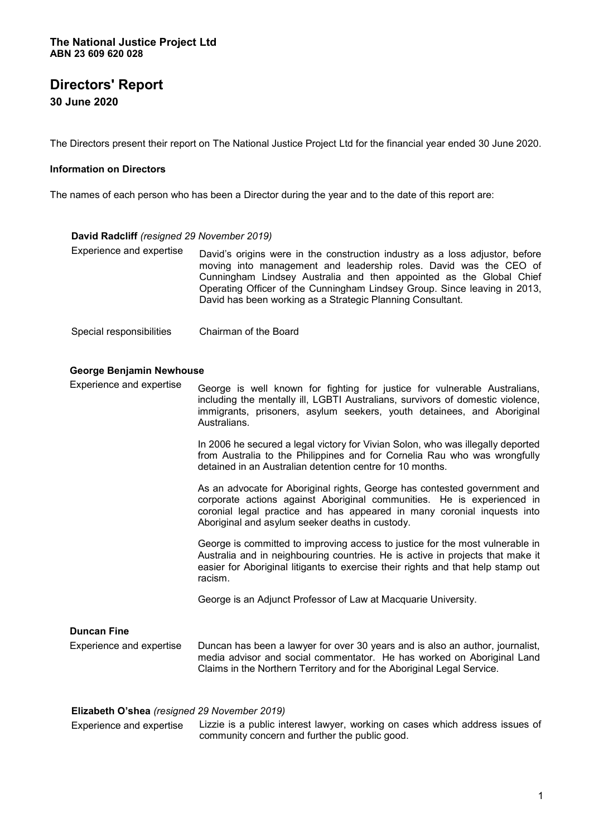**30 June 2020** 

The Directors present their report on The National Justice Project Ltd for the financial year ended 30 June 2020.

#### **Information on Directors**

The names of each person who has been a Director during the year and to the date of this report are:

#### **David Radcliff** *(resigned 29 November 2019)*

- Experience and expertise David's origins were in the construction industry as a loss adjustor, before moving into management and leadership roles. David was the CEO of Cunningham Lindsey Australia and then appointed as the Global Chief Operating Officer of the Cunningham Lindsey Group. Since leaving in 2013, David has been working as a Strategic Planning Consultant.
- Special responsibilities Chairman of the Board

#### **George Benjamin Newhouse**

Experience and expertise George is well known for fighting for justice for vulnerable Australians, including the mentally ill, LGBTI Australians, survivors of domestic violence, immigrants, prisoners, asylum seekers, youth detainees, and Aboriginal Australians.

> In 2006 he secured a legal victory for Vivian Solon, who was illegally deported from Australia to the Philippines and for Cornelia Rau who was wrongfully detained in an Australian detention centre for 10 months.

> As an advocate for Aboriginal rights, George has contested government and corporate actions against Aboriginal communities. He is experienced in coronial legal practice and has appeared in many coronial inquests into Aboriginal and asylum seeker deaths in custody.

> George is committed to improving access to justice for the most vulnerable in Australia and in neighbouring countries. He is active in projects that make it easier for Aboriginal litigants to exercise their rights and that help stamp out racism.

George is an Adjunct Professor of Law at Macquarie University.

| <b>Duncan Fine</b>       |                                                                                                                                                                                                                                   |
|--------------------------|-----------------------------------------------------------------------------------------------------------------------------------------------------------------------------------------------------------------------------------|
| Experience and expertise | Duncan has been a lawyer for over 30 years and is also an author, journalist,<br>media advisor and social commentator. He has worked on Aboriginal Land<br>Claims in the Northern Territory and for the Aboriginal Legal Service. |

#### Elizabeth O'shea (resigned 29 November 2019)

Experience and expertise Lizzie is a public interest lawyer, working on cases which address issues of community concern and further the public good.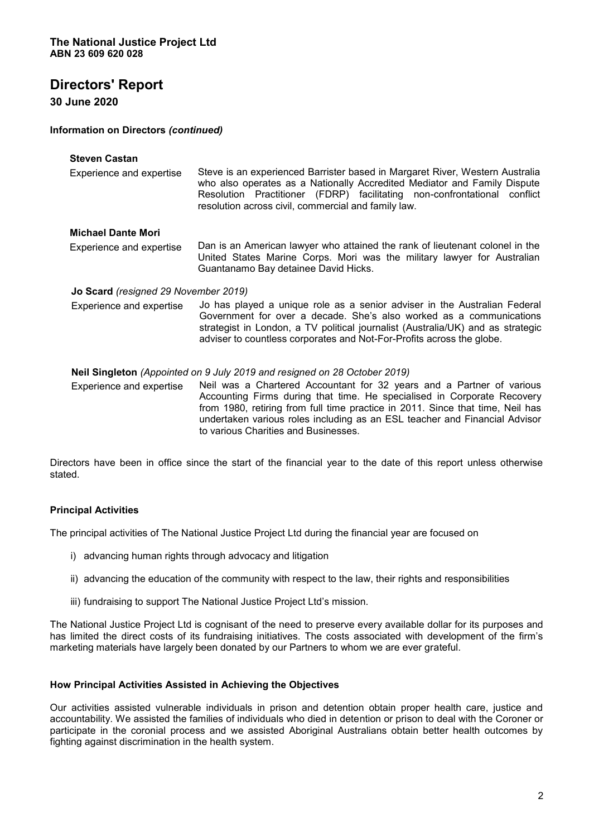#### **30 June 2020**

#### **Information on Directors** *(continued)*

| <b>Steven Castan</b><br>Experience and expertise | Steve is an experienced Barrister based in Margaret River, Western Australia<br>who also operates as a Nationally Accredited Mediator and Family Dispute<br>Resolution Practitioner (FDRP) facilitating non-confrontational conflict<br>resolution across civil, commercial and family law.                                                              |
|--------------------------------------------------|----------------------------------------------------------------------------------------------------------------------------------------------------------------------------------------------------------------------------------------------------------------------------------------------------------------------------------------------------------|
| <b>Michael Dante Mori</b>                        |                                                                                                                                                                                                                                                                                                                                                          |
| Experience and expertise                         | Dan is an American lawyer who attained the rank of lieutenant colonel in the<br>United States Marine Corps. Mori was the military lawyer for Australian<br>Guantanamo Bay detainee David Hicks.                                                                                                                                                          |
| <b>Jo Scard</b> (resigned 29 November 2019)      |                                                                                                                                                                                                                                                                                                                                                          |
| Experience and expertise                         | Jo has played a unique role as a senior adviser in the Australian Federal<br>Government for over a decade. She's also worked as a communications<br>strategist in London, a TV political journalist (Australia/UK) and as strategic<br>adviser to countless corporates and Not-For-Profits across the globe.                                             |
|                                                  | Neil Singleton (Appointed on 9 July 2019 and resigned on 28 October 2019)                                                                                                                                                                                                                                                                                |
| Experience and expertise                         | Neil was a Chartered Accountant for 32 years and a Partner of various<br>Accounting Firms during that time. He specialised in Corporate Recovery<br>from 1980, retiring from full time practice in 2011. Since that time, Neil has<br>undertaken various roles including as an ESL teacher and Financial Advisor<br>to various Charities and Businesses. |

Directors have been in office since the start of the financial year to the date of this report unless otherwise stated.

#### **Principal Activities**

The principal activities of The National Justice Project Ltd during the financial year are focused on

- i) advancing human rights through advocacy and litigation
- ii) advancing the education of the community with respect to the law, their rights and responsibilities
- iii) fundraising to support The National Justice Project Ltd's mission.

The National Justice Project Ltd is cognisant of the need to preserve every available dollar for its purposes and has limited the direct costs of its fundraising initiatives. The costs associated with development of the firm's marketing materials have largely been donated by our Partners to whom we are ever grateful.

#### **How Principal Activities Assisted in Achieving the Objectives**

Our activities assisted vulnerable individuals in prison and detention obtain proper health care, justice and accountability. We assisted the families of individuals who died in detention or prison to deal with the Coroner or participate in the coronial process and we assisted Aboriginal Australians obtain better health outcomes by fighting against discrimination in the health system.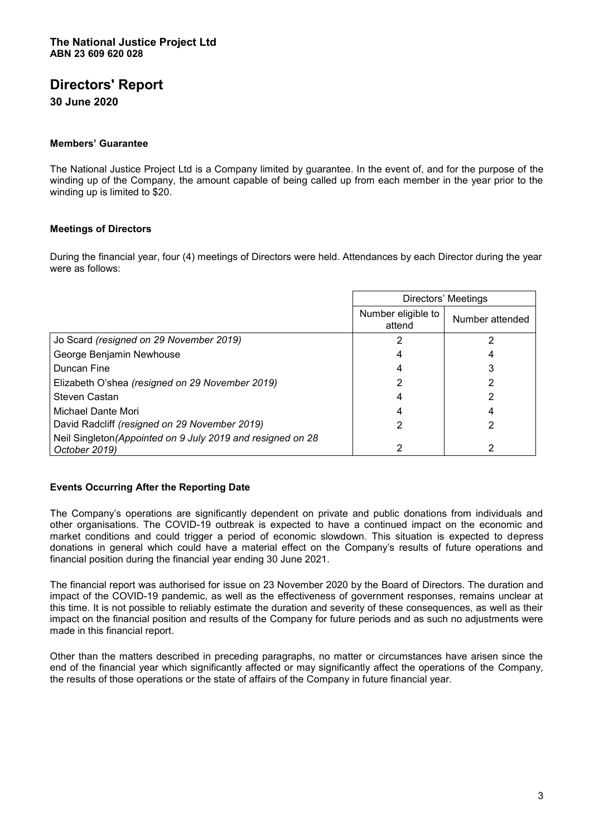**30 June 2020** 

#### **Members¶ Guarantee**

The National Justice Project Ltd is a Company limited by guarantee. In the event of, and for the purpose of the winding up of the Company, the amount capable of being called up from each member in the year prior to the winding up is limited to \$20.

#### **Meetings of Directors**

During the financial year, four (4) meetings of Directors were held. Attendances by each Director during the year were as follows:

|                                                                              | Directors' Meetings          |                 |
|------------------------------------------------------------------------------|------------------------------|-----------------|
|                                                                              | Number eligible to<br>attend | Number attended |
| Jo Scard (resigned on 29 November 2019)                                      |                              | າ               |
| George Benjamin Newhouse                                                     |                              |                 |
| Duncan Fine                                                                  |                              |                 |
| Elizabeth O'shea (resigned on 29 November 2019)                              |                              |                 |
| Steven Castan                                                                |                              |                 |
| Michael Dante Mori                                                           |                              |                 |
| David Radcliff (resigned on 29 November 2019)                                |                              |                 |
| Neil Singleton (Appointed on 9 July 2019 and resigned on 28<br>October 2019) |                              | າ               |

#### **Events Occurring After the Reporting Date**

The Company's operations are significantly dependent on private and public donations from individuals and other organisations. The COVID-19 outbreak is expected to have a continued impact on the economic and market conditions and could trigger a period of economic slowdown. This situation is expected to depress donations in general which could have a material effect on the Company's results of future operations and financial position during the financial year ending 30 June 2021.

The financial report was authorised for issue on 23 November 2020 by the Board of Directors. The duration and impact of the COVID-19 pandemic, as well as the effectiveness of government responses, remains unclear at this time. It is not possible to reliably estimate the duration and severity of these consequences, as well as their impact on the financial position and results of the Company for future periods and as such no adjustments were made in this financial report.

Other than the matters described in preceding paragraphs, no matter or circumstances have arisen since the end of the financial year which significantly affected or may significantly affect the operations of the Company, the results of those operations or the state of affairs of the Company in future financial year.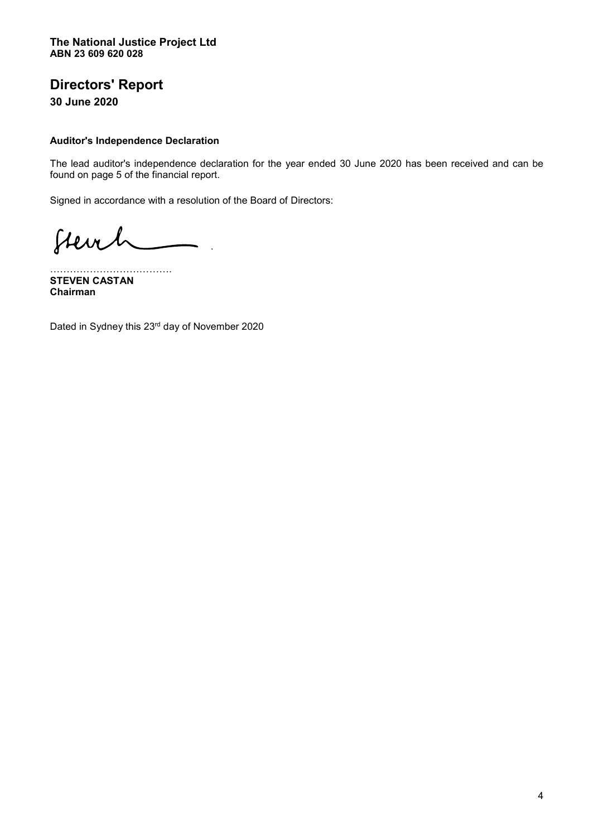**30 June 2020** 

#### **Auditor's Independence Declaration**

The lead auditor's independence declaration for the year ended 30 June 2020 has been received and can be found on page 5 of the financial report.

Signed in accordance with a resolution of the Board of Directors:

Stevel

««««««««««««. **STEVEN CASTAN Chairman** 

Dated in Sydney this 23rd day of November 2020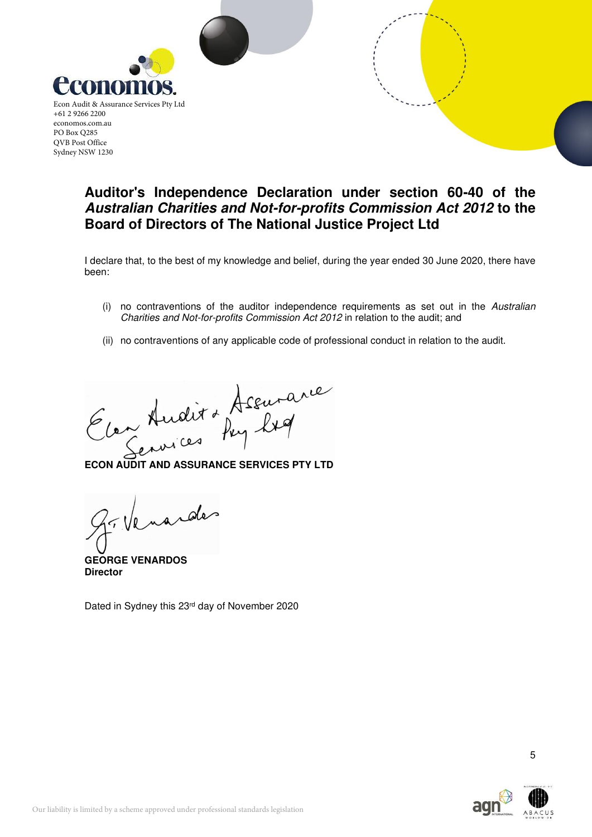

# **Auditor's Independence Declaration under section 60-40 of the Australian Charities and Not-for-profits Commission Act 2012 to the Board of Directors of The National Justice Project Ltd**

I declare that, to the best of my knowledge and belief, during the year ended 30 June 2020, there have been:

- (i) no contraventions of the auditor independence requirements as set out in the Australian Charities and Not-for-profits Commission Act 2012 in relation to the audit; and
- (ii) no contraventions of any applicable code of professional conduct in relation to the audit.

Econ Audit de Assurance

**GEORGE VENARDOS Director** 

Dated in Sydney this 23rd day of November 2020

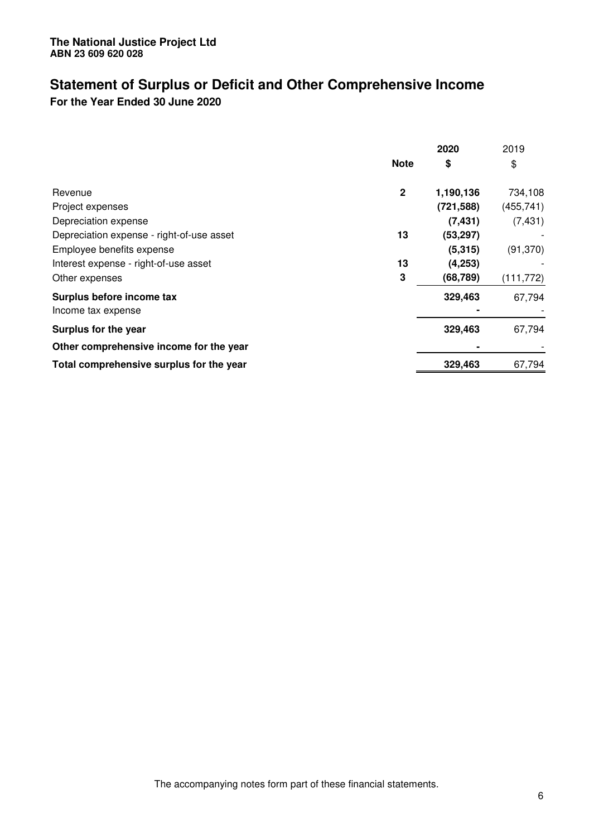## **Statement of Surplus or Deficit and Other Comprehensive Income For the Year Ended 30 June 2020**

|                                           |              | 2020       | 2019       |
|-------------------------------------------|--------------|------------|------------|
|                                           | <b>Note</b>  | \$         | \$         |
| Revenue                                   | $\mathbf{2}$ | 1,190,136  | 734,108    |
| Project expenses                          |              | (721, 588) | (455, 741) |
| Depreciation expense                      |              | (7, 431)   | (7, 431)   |
| Depreciation expense - right-of-use asset | 13           | (53, 297)  |            |
| Employee benefits expense                 |              | (5, 315)   | (91, 370)  |
| Interest expense - right-of-use asset     | 13           | (4,253)    |            |
| Other expenses                            | 3            | (68, 789)  | (111, 772) |
| Surplus before income tax                 |              | 329,463    | 67,794     |
| Income tax expense                        |              |            |            |
| Surplus for the year                      |              | 329,463    | 67,794     |
| Other comprehensive income for the year   |              |            |            |
| Total comprehensive surplus for the year  |              | 329,463    | 67,794     |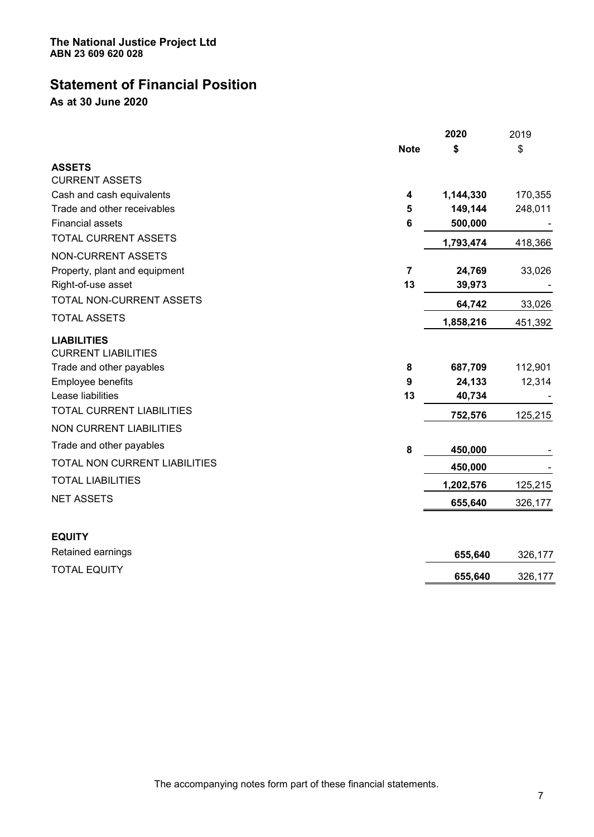# **Statement of Financial Position**

**As at 30 June 2020** 

|                                                  |                 | 2020      | 2019    |
|--------------------------------------------------|-----------------|-----------|---------|
|                                                  | <b>Note</b>     | \$        | \$      |
| <b>ASSETS</b>                                    |                 |           |         |
| <b>CURRENT ASSETS</b>                            |                 |           |         |
| Cash and cash equivalents                        | 4               | 1,144,330 | 170,355 |
| Trade and other receivables                      | 5               | 149,144   | 248,011 |
| <b>Financial assets</b>                          | $6\phantom{1}6$ | 500,000   |         |
| TOTAL CURRENT ASSETS                             |                 | 1,793,474 | 418,366 |
| <b>NON-CURRENT ASSETS</b>                        |                 |           |         |
| Property, plant and equipment                    | $\overline{7}$  | 24,769    | 33,026  |
| Right-of-use asset                               | 13              | 39,973    |         |
| TOTAL NON-CURRENT ASSETS                         |                 | 64,742    | 33,026  |
| <b>TOTAL ASSETS</b>                              |                 | 1,858,216 | 451,392 |
| <b>LIABILITIES</b><br><b>CURRENT LIABILITIES</b> |                 |           |         |
| Trade and other payables                         | 8               | 687,709   | 112,901 |
| Employee benefits                                | 9               | 24,133    | 12,314  |
| Lease liabilities                                | 13              | 40,734    |         |
| <b>TOTAL CURRENT LIABILITIES</b>                 |                 | 752,576   | 125,215 |
| <b>NON CURRENT LIABILITIES</b>                   |                 |           |         |
| Trade and other payables                         | $\bf 8$         | 450,000   |         |
| TOTAL NON CURRENT LIABILITIES                    |                 | 450,000   |         |
| <b>TOTAL LIABILITIES</b>                         |                 | 1,202,576 | 125,215 |
| <b>NET ASSETS</b>                                |                 | 655,640   | 326,177 |
| <b>EQUITY</b>                                    |                 |           |         |
| Retained earnings                                |                 | 655,640   | 326,177 |
| <b>TOTAL EQUITY</b>                              |                 | 655,640   | 326,177 |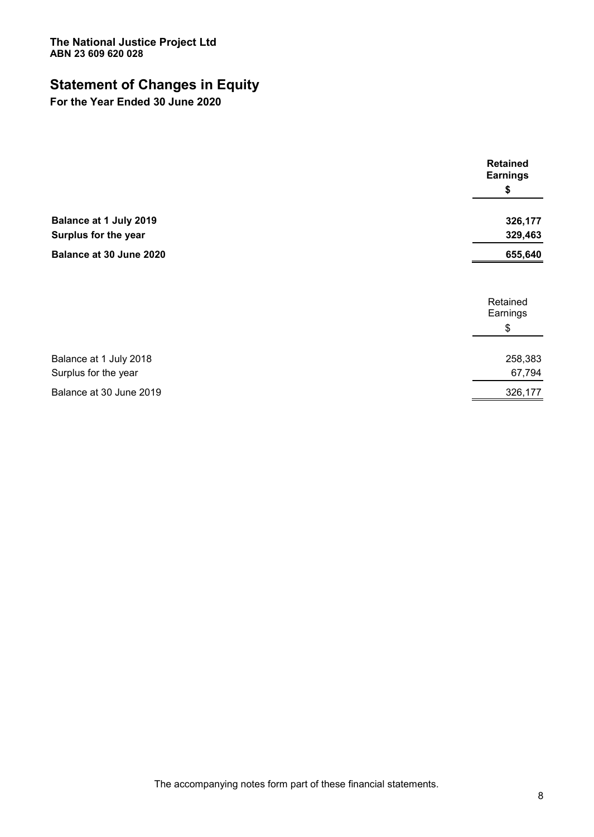# **Statement of Changes in Equity**

**For the Year Ended 30 June 2020** 

|                         | <b>Retained</b><br><b>Earnings</b> |
|-------------------------|------------------------------------|
|                         | \$                                 |
| Balance at 1 July 2019  | 326,177                            |
| Surplus for the year    | 329,463                            |
| Balance at 30 June 2020 | 655,640                            |
|                         | Retained<br>Earnings               |
|                         | \$                                 |
| Balance at 1 July 2018  | 258,383                            |
| Surplus for the year    | 67,794                             |
| Balance at 30 June 2019 | 326,177                            |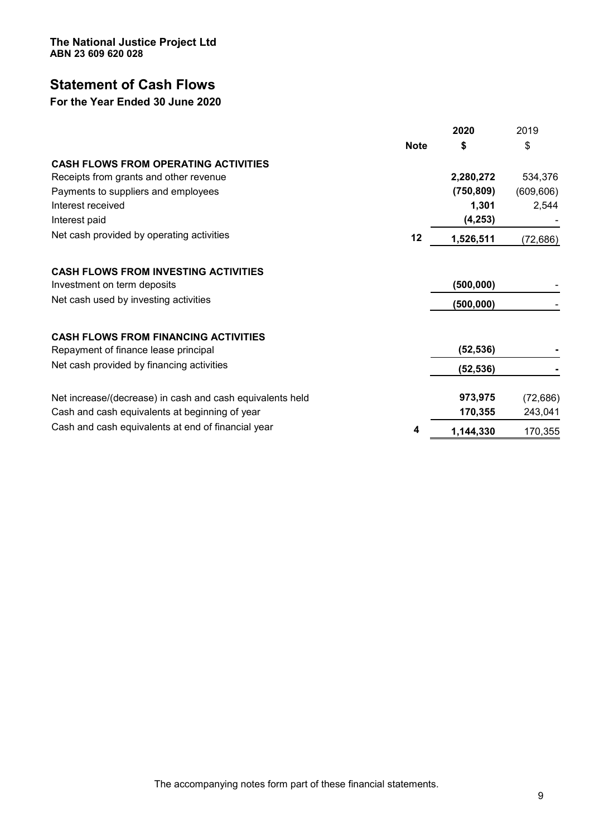**The National Justice Project Ltd ABN 23 609 620 028** 

# **Statement of Cash Flows**

### **For the Year Ended 30 June 2020**

|                                                           |             | 2020       | 2019       |
|-----------------------------------------------------------|-------------|------------|------------|
|                                                           | <b>Note</b> | \$         | \$         |
| <b>CASH FLOWS FROM OPERATING ACTIVITIES</b>               |             |            |            |
| Receipts from grants and other revenue                    |             | 2,280,272  | 534,376    |
| Payments to suppliers and employees                       |             | (750, 809) | (609, 606) |
| Interest received                                         |             | 1,301      | 2,544      |
| Interest paid                                             |             | (4, 253)   |            |
| Net cash provided by operating activities                 | 12          | 1,526,511  | (72, 686)  |
| <b>CASH FLOWS FROM INVESTING ACTIVITIES</b>               |             |            |            |
| Investment on term deposits                               |             | (500, 000) |            |
| Net cash used by investing activities                     |             | (500, 000) |            |
| <b>CASH FLOWS FROM FINANCING ACTIVITIES</b>               |             |            |            |
| Repayment of finance lease principal                      |             | (52, 536)  |            |
| Net cash provided by financing activities                 |             | (52, 536)  |            |
| Net increase/(decrease) in cash and cash equivalents held |             | 973,975    | (72, 686)  |
| Cash and cash equivalents at beginning of year            |             | 170,355    | 243,041    |
| Cash and cash equivalents at end of financial year        | 4           | 1,144,330  | 170,355    |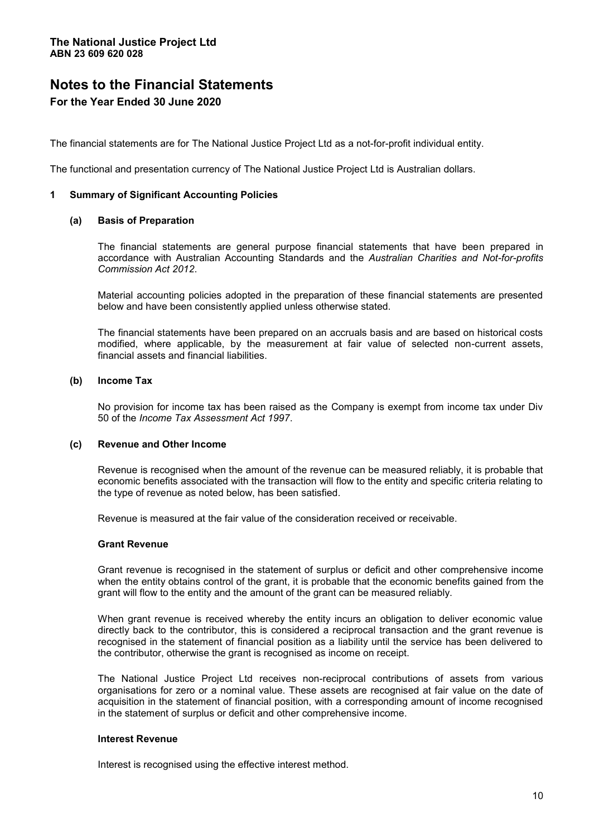The financial statements are for The National Justice Project Ltd as a not-for-profit individual entity.

The functional and presentation currency of The National Justice Project Ltd is Australian dollars.

#### **1 Summary of Significant Accounting Policies**

#### **(a) Basis of Preparation**

The financial statements are general purpose financial statements that have been prepared in accordance with Australian Accounting Standards and the *Australian Charities and Not-for-profits Commission Act 2012*.

Material accounting policies adopted in the preparation of these financial statements are presented below and have been consistently applied unless otherwise stated.

The financial statements have been prepared on an accruals basis and are based on historical costs modified, where applicable, by the measurement at fair value of selected non-current assets, financial assets and financial liabilities.

#### **(b) Income Tax**

No provision for income tax has been raised as the Company is exempt from income tax under Div 50 of the *Income Tax Assessment Act 1997*.

#### **(c) Revenue and Other Income**

Revenue is recognised when the amount of the revenue can be measured reliably, it is probable that economic benefits associated with the transaction will flow to the entity and specific criteria relating to the type of revenue as noted below, has been satisfied.

Revenue is measured at the fair value of the consideration received or receivable.

#### **Grant Revenue**

Grant revenue is recognised in the statement of surplus or deficit and other comprehensive income when the entity obtains control of the grant, it is probable that the economic benefits gained from the grant will flow to the entity and the amount of the grant can be measured reliably.

When grant revenue is received whereby the entity incurs an obligation to deliver economic value directly back to the contributor, this is considered a reciprocal transaction and the grant revenue is recognised in the statement of financial position as a liability until the service has been delivered to the contributor, otherwise the grant is recognised as income on receipt.

The National Justice Project Ltd receives non-reciprocal contributions of assets from various organisations for zero or a nominal value. These assets are recognised at fair value on the date of acquisition in the statement of financial position, with a corresponding amount of income recognised in the statement of surplus or deficit and other comprehensive income.

#### **Interest Revenue**

Interest is recognised using the effective interest method.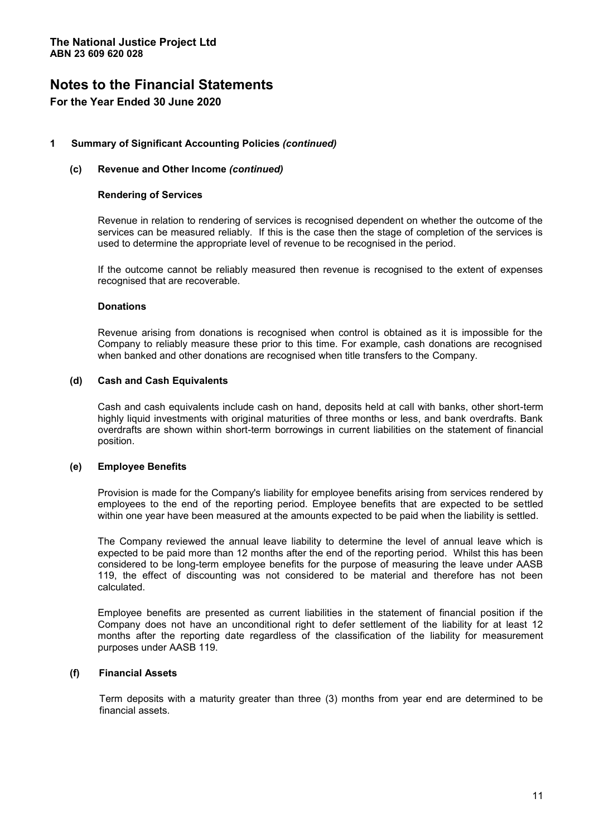#### **1 Summary of Significant Accounting Policies** *(continued)*

#### **(c) Revenue and Other Income** *(continued)*

#### **Rendering of Services**

Revenue in relation to rendering of services is recognised dependent on whether the outcome of the services can be measured reliably. If this is the case then the stage of completion of the services is used to determine the appropriate level of revenue to be recognised in the period.

If the outcome cannot be reliably measured then revenue is recognised to the extent of expenses recognised that are recoverable.

#### **Donations**

Revenue arising from donations is recognised when control is obtained as it is impossible for the Company to reliably measure these prior to this time. For example, cash donations are recognised when banked and other donations are recognised when title transfers to the Company.

#### **(d) Cash and Cash Equivalents**

Cash and cash equivalents include cash on hand, deposits held at call with banks, other short-term highly liquid investments with original maturities of three months or less, and bank overdrafts. Bank overdrafts are shown within short-term borrowings in current liabilities on the statement of financial position.

#### **(e) Employee Benefits**

Provision is made for the Company's liability for employee benefits arising from services rendered by employees to the end of the reporting period. Employee benefits that are expected to be settled within one year have been measured at the amounts expected to be paid when the liability is settled.

The Company reviewed the annual leave liability to determine the level of annual leave which is expected to be paid more than 12 months after the end of the reporting period. Whilst this has been considered to be long-term employee benefits for the purpose of measuring the leave under AASB 119, the effect of discounting was not considered to be material and therefore has not been calculated.

Employee benefits are presented as current liabilities in the statement of financial position if the Company does not have an unconditional right to defer settlement of the liability for at least 12 months after the reporting date regardless of the classification of the liability for measurement purposes under AASB 119.

#### **(f) Financial Assets**

Term deposits with a maturity greater than three (3) months from year end are determined to be financial assets.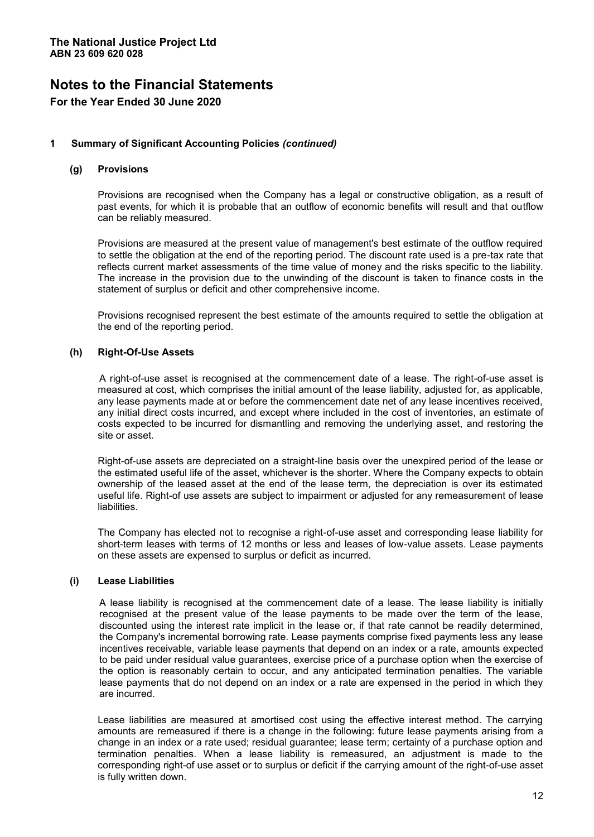#### **1 Summary of Significant Accounting Policies** *(continued)*

#### **(g) Provisions**

Provisions are recognised when the Company has a legal or constructive obligation, as a result of past events, for which it is probable that an outflow of economic benefits will result and that outflow can be reliably measured.

Provisions are measured at the present value of management's best estimate of the outflow required to settle the obligation at the end of the reporting period. The discount rate used is a pre-tax rate that reflects current market assessments of the time value of money and the risks specific to the liability. The increase in the provision due to the unwinding of the discount is taken to finance costs in the statement of surplus or deficit and other comprehensive income.

Provisions recognised represent the best estimate of the amounts required to settle the obligation at the end of the reporting period.

#### **(h) Right-Of-Use Assets**

A right-of-use asset is recognised at the commencement date of a lease. The right-of-use asset is measured at cost, which comprises the initial amount of the lease liability, adjusted for, as applicable, any lease payments made at or before the commencement date net of any lease incentives received, any initial direct costs incurred, and except where included in the cost of inventories, an estimate of costs expected to be incurred for dismantling and removing the underlying asset, and restoring the site or asset.

Right-of-use assets are depreciated on a straight-line basis over the unexpired period of the lease or the estimated useful life of the asset, whichever is the shorter. Where the Company expects to obtain ownership of the leased asset at the end of the lease term, the depreciation is over its estimated useful life. Right-of use assets are subject to impairment or adjusted for any remeasurement of lease liabilities.

The Company has elected not to recognise a right-of-use asset and corresponding lease liability for short-term leases with terms of 12 months or less and leases of low-value assets. Lease payments on these assets are expensed to surplus or deficit as incurred.

#### **(i) Lease Liabilities**

A lease liability is recognised at the commencement date of a lease. The lease liability is initially recognised at the present value of the lease payments to be made over the term of the lease, discounted using the interest rate implicit in the lease or, if that rate cannot be readily determined, the Company's incremental borrowing rate. Lease payments comprise fixed payments less any lease incentives receivable, variable lease payments that depend on an index or a rate, amounts expected to be paid under residual value guarantees, exercise price of a purchase option when the exercise of the option is reasonably certain to occur, and any anticipated termination penalties. The variable lease payments that do not depend on an index or a rate are expensed in the period in which they are incurred.

Lease liabilities are measured at amortised cost using the effective interest method. The carrying amounts are remeasured if there is a change in the following: future lease payments arising from a change in an index or a rate used; residual guarantee; lease term; certainty of a purchase option and termination penalties. When a lease liability is remeasured, an adjustment is made to the corresponding right-of use asset or to surplus or deficit if the carrying amount of the right-of-use asset is fully written down.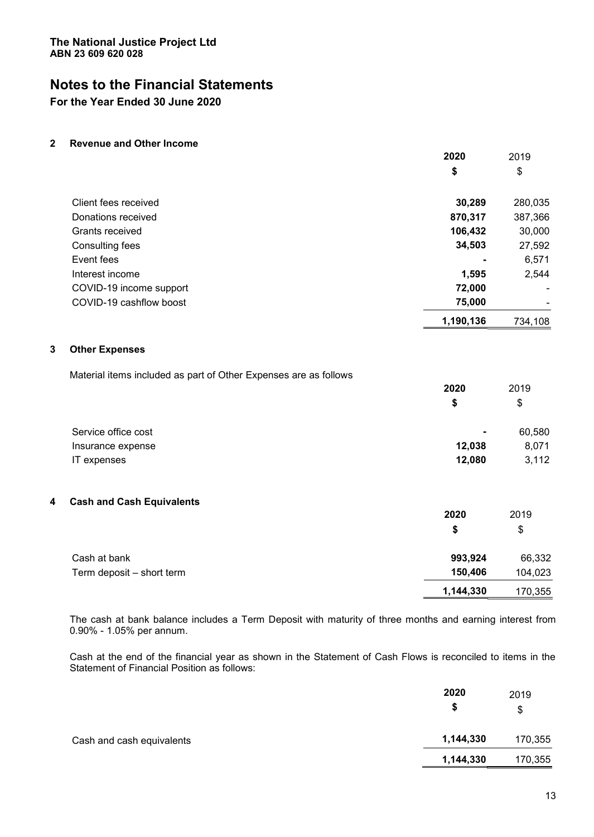# **Notes to the Financial Statements**

**For the Year Ended 30 June 2020** 

**2 Revenue and Other Income** 

|                         | 2020           | 2019                         |
|-------------------------|----------------|------------------------------|
|                         | \$             | \$                           |
| Client fees received    | 30,289         | 280,035                      |
| Donations received      | 870,317        | 387,366                      |
| Grants received         | 106,432        | 30,000                       |
| Consulting fees         | 34,503         | 27,592                       |
| Event fees              | $\blacksquare$ | 6,571                        |
| Interest income         | 1,595          | 2,544                        |
| COVID-19 income support | 72,000         | -                            |
| COVID-19 cashflow boost | 75,000         | $\qquad \qquad \blacksquare$ |
|                         | 1,190,136      | 734,108                      |

#### **3 Other Expenses**

Material items included as part of Other Expenses are as follows

|                     | 2020           | 2019   |
|---------------------|----------------|--------|
|                     | \$             | \$     |
| Service office cost | $\blacksquare$ | 60,580 |
| Insurance expense   | 12,038         | 8,071  |
| IT expenses         | 12,080         | 3,112  |

#### **4 Cash and Cash Equivalents**

|                           | 2020      | 2019    |
|---------------------------|-----------|---------|
|                           | \$        | \$      |
| Cash at bank              | 993,924   | 66,332  |
| Term deposit – short term | 150,406   | 104,023 |
|                           | 1,144,330 | 170,355 |

The cash at bank balance includes a Term Deposit with maturity of three months and earning interest from 0.90% - 1.05% per annum.

Cash at the end of the financial year as shown in the Statement of Cash Flows is reconciled to items in the Statement of Financial Position as follows:

|                           | 2020<br>\$ | 2019<br>\$ |
|---------------------------|------------|------------|
| Cash and cash equivalents | 1,144,330  | 170,355    |
|                           | 1,144,330  | 170,355    |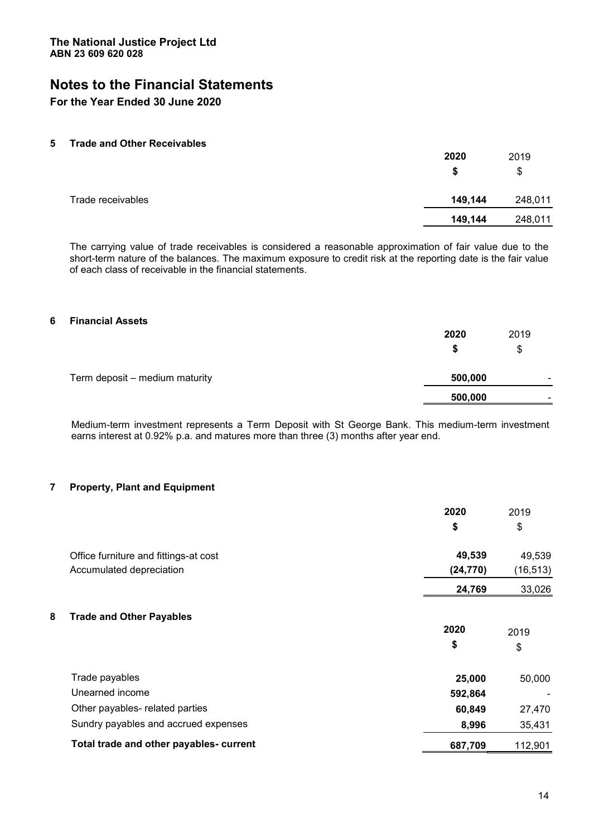# **Notes to the Financial Statements**

#### **For the Year Ended 30 June 2020**

#### **5 Trade and Other Receivables**

|                   | 2020    | 2019    |
|-------------------|---------|---------|
|                   | S       | \$      |
| Trade receivables | 149,144 | 248,011 |
|                   | 149,144 | 248,011 |

The carrying value of trade receivables is considered a reasonable approximation of fair value due to the short-term nature of the balances. The maximum exposure to credit risk at the reporting date is the fair value of each class of receivable in the financial statements.

#### **6 Financial Assets**

|                                | 2020    | 2019                     |
|--------------------------------|---------|--------------------------|
|                                |         | \$                       |
| Term deposit – medium maturity | 500,000 | $\overline{\phantom{0}}$ |
|                                | 500,000 | ۰                        |

Medium-term investment represents a Term Deposit with St George Bank. This medium-term investment earns interest at 0.92% p.a. and matures more than three (3) months after year end.

#### **7 Property, Plant and Equipment**

|                                         | 2020      | 2019      |
|-----------------------------------------|-----------|-----------|
|                                         | \$        | \$        |
| Office furniture and fittings-at cost   | 49,539    | 49,539    |
| Accumulated depreciation                | (24, 770) | (16, 513) |
|                                         | 24,769    | 33,026    |
| 8<br><b>Trade and Other Payables</b>    |           |           |
|                                         | 2020      | 2019      |
|                                         | \$        | \$        |
| Trade payables                          | 25,000    | 50,000    |
| Unearned income                         | 592,864   |           |
| Other payables- related parties         | 60,849    | 27,470    |
| Sundry payables and accrued expenses    | 8,996     | 35,431    |
| Total trade and other payables- current | 687,709   | 112,901   |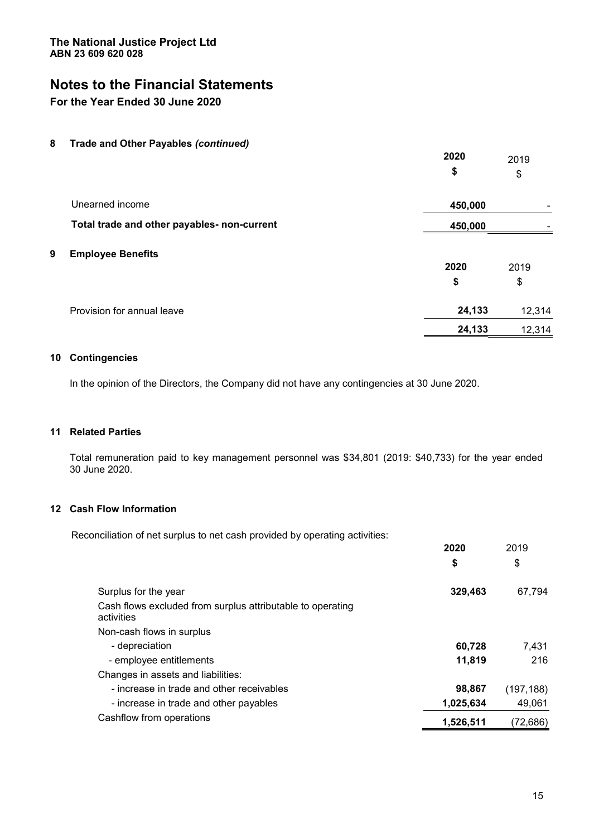# **Notes to the Financial Statements**

### **For the Year Ended 30 June 2020**

**8 Trade and Other Payables** *(continued)* 

|   |                                             | 2020<br>\$ | 2019<br>\$ |
|---|---------------------------------------------|------------|------------|
|   | Unearned income                             | 450,000    |            |
|   | Total trade and other payables- non-current | 450,000    |            |
| 9 | <b>Employee Benefits</b>                    | 2020       | 2019       |
|   |                                             | \$         | \$         |
|   | Provision for annual leave                  | 24,133     | 12,314     |
|   |                                             | 24,133     | 12,314     |

#### **10 Contingencies**

In the opinion of the Directors, the Company did not have any contingencies at 30 June 2020.

#### **11 Related Parties**

Total remuneration paid to key management personnel was \$34,801 (2019: \$40,733) for the year ended 30 June 2020.

#### **12 Cash Flow Information**

Reconciliation of net surplus to net cash provided by operating activities:

|                                                                          | 2020      | 2019       |
|--------------------------------------------------------------------------|-----------|------------|
|                                                                          | \$        | \$         |
| Surplus for the year                                                     | 329,463   | 67,794     |
| Cash flows excluded from surplus attributable to operating<br>activities |           |            |
| Non-cash flows in surplus                                                |           |            |
| - depreciation                                                           | 60,728    | 7,431      |
| - employee entitlements                                                  | 11,819    | 216        |
| Changes in assets and liabilities:                                       |           |            |
| - increase in trade and other receivables                                | 98,867    | (197, 188) |
| - increase in trade and other payables                                   | 1,025,634 | 49,061     |
| Cashflow from operations                                                 | 1,526,511 | (72,686)   |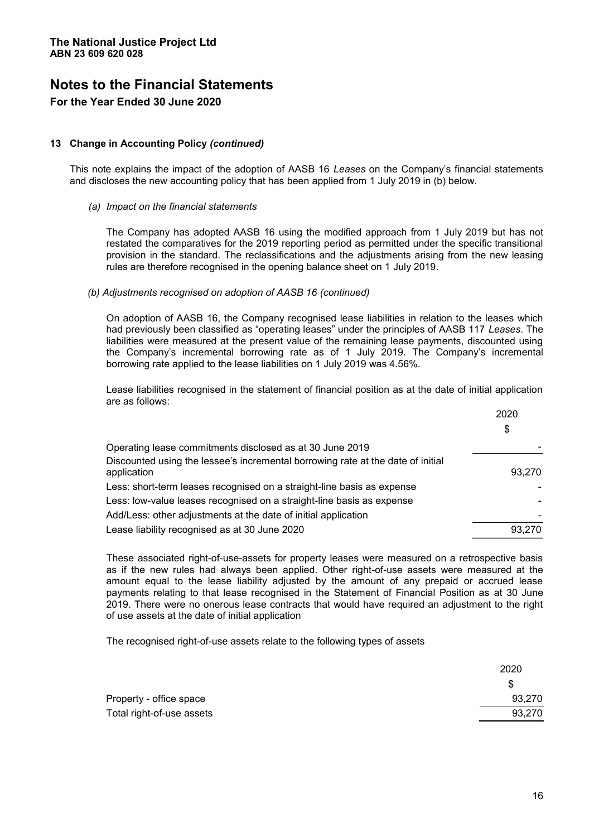#### **13 Change in Accounting Policy** *(continued)*

This note explains the impact of the adoption of AASB 16 Leases on the Company's financial statements and discloses the new accounting policy that has been applied from 1 July 2019 in (b) below.

#### *(a) Impact on the financial statements*

The Company has adopted AASB 16 using the modified approach from 1 July 2019 but has not restated the comparatives for the 2019 reporting period as permitted under the specific transitional provision in the standard. The reclassifications and the adjustments arising from the new leasing rules are therefore recognised in the opening balance sheet on 1 July 2019.

#### *(b) Adjustments recognised on adoption of AASB 16 (continued)*

On adoption of AASB 16, the Company recognised lease liabilities in relation to the leases which had previously been classified as "operating leases" under the principles of AASB 117 Leases. The liabilities were measured at the present value of the remaining lease payments, discounted using the Company's incremental borrowing rate as of 1 July 2019. The Company's incremental borrowing rate applied to the lease liabilities on 1 July 2019 was 4.56%.

Lease liabilities recognised in the statement of financial position as at the date of initial application are as follows:

|                                                                                                | 2020   |
|------------------------------------------------------------------------------------------------|--------|
|                                                                                                | \$     |
| Operating lease commitments disclosed as at 30 June 2019                                       |        |
| Discounted using the lessee's incremental borrowing rate at the date of initial<br>application | 93.270 |
| Less: short-term leases recognised on a straight-line basis as expense                         |        |
| Less: low-value leases recognised on a straight-line basis as expense                          |        |
| Add/Less: other adjustments at the date of initial application                                 |        |
| Lease liability recognised as at 30 June 2020                                                  | 93.270 |

These associated right-of-use-assets for property leases were measured on a retrospective basis as if the new rules had always been applied. Other right-of-use assets were measured at the amount equal to the lease liability adjusted by the amount of any prepaid or accrued lease payments relating to that lease recognised in the Statement of Financial Position as at 30 June 2019. There were no onerous lease contracts that would have required an adjustment to the right of use assets at the date of initial application

The recognised right-of-use assets relate to the following types of assets

|                           | 2020   |
|---------------------------|--------|
|                           |        |
| Property - office space   | 93,270 |
| Total right-of-use assets | 93,270 |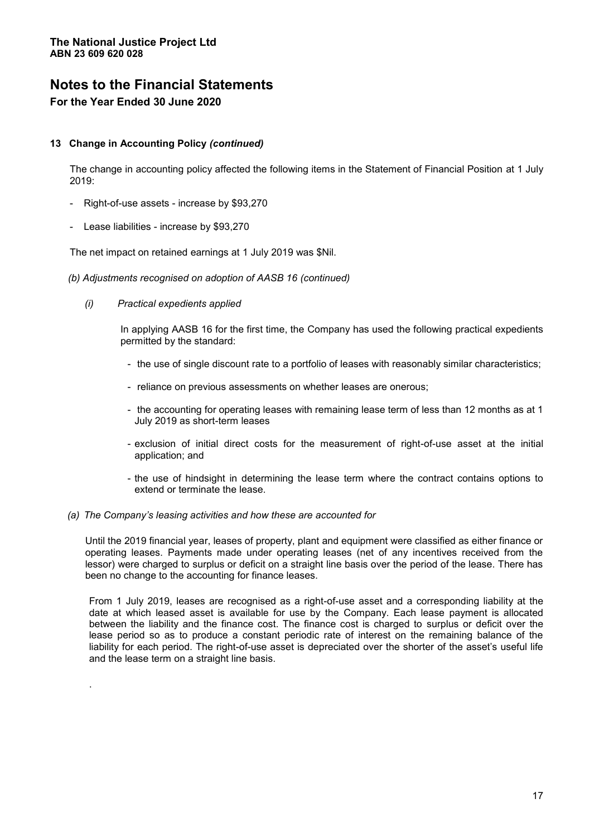#### **13 Change in Accounting Policy** *(continued)*

The change in accounting policy affected the following items in the Statement of Financial Position at 1 July 2019:

- Right-of-use assets increase by \$93,270
- Lease liabilities increase by \$93,270

The net impact on retained earnings at 1 July 2019 was \$Nil.

- *(b) Adjustments recognised on adoption of AASB 16 (continued)* 
	- *(i) Practical expedients applied*

.

In applying AASB 16 for the first time, the Company has used the following practical expedients permitted by the standard:

- the use of single discount rate to a portfolio of leases with reasonably similar characteristics;
- reliance on previous assessments on whether leases are onerous;
- the accounting for operating leases with remaining lease term of less than 12 months as at 1 July 2019 as short-term leases
- exclusion of initial direct costs for the measurement of right-of-use asset at the initial application; and
- the use of hindsight in determining the lease term where the contract contains options to extend or terminate the lease.

#### *(a)* The Company's leasing activities and how these are accounted for

Until the 2019 financial year, leases of property, plant and equipment were classified as either finance or operating leases. Payments made under operating leases (net of any incentives received from the lessor) were charged to surplus or deficit on a straight line basis over the period of the lease. There has been no change to the accounting for finance leases.

From 1 July 2019, leases are recognised as a right-of-use asset and a corresponding liability at the date at which leased asset is available for use by the Company. Each lease payment is allocated between the liability and the finance cost. The finance cost is charged to surplus or deficit over the lease period so as to produce a constant periodic rate of interest on the remaining balance of the liability for each period. The right-of-use asset is depreciated over the shorter of the asset's useful life and the lease term on a straight line basis.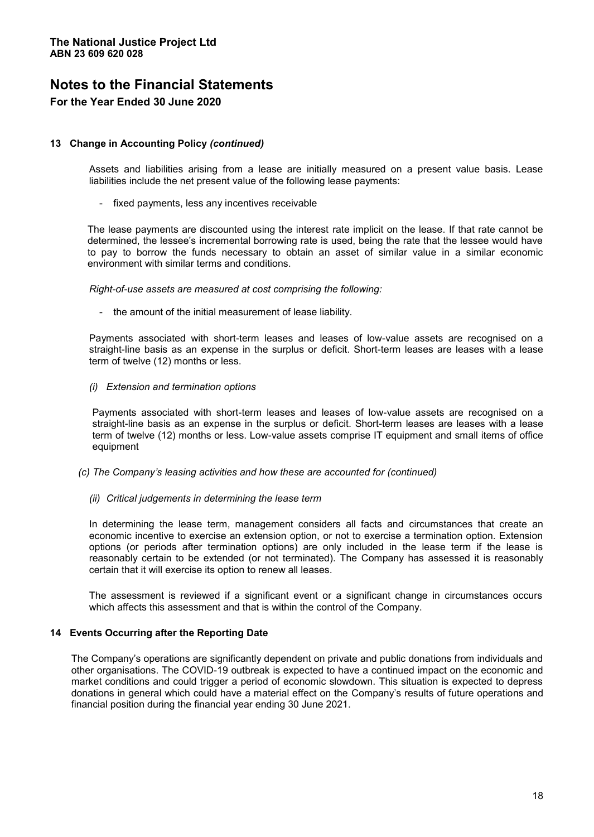#### **13 Change in Accounting Policy** *(continued)*

Assets and liabilities arising from a lease are initially measured on a present value basis. Lease liabilities include the net present value of the following lease payments:

- fixed payments, less any incentives receivable

The lease payments are discounted using the interest rate implicit on the lease. If that rate cannot be determined, the lessee's incremental borrowing rate is used, being the rate that the lessee would have to pay to borrow the funds necessary to obtain an asset of similar value in a similar economic environment with similar terms and conditions.

*Right-of-use assets are measured at cost comprising the following:* 

- the amount of the initial measurement of lease liability.

Payments associated with short-term leases and leases of low-value assets are recognised on a straight-line basis as an expense in the surplus or deficit. Short-term leases are leases with a lease term of twelve (12) months or less.

*(i) Extension and termination options* 

Payments associated with short-term leases and leases of low-value assets are recognised on a straight-line basis as an expense in the surplus or deficit. Short-term leases are leases with a lease term of twelve (12) months or less. Low-value assets comprise IT equipment and small items of office equipment

- *(c)* The Company's leasing activities and how these are accounted for (continued)
	- *(ii) Critical judgements in determining the lease term*

In determining the lease term, management considers all facts and circumstances that create an economic incentive to exercise an extension option, or not to exercise a termination option. Extension options (or periods after termination options) are only included in the lease term if the lease is reasonably certain to be extended (or not terminated). The Company has assessed it is reasonably certain that it will exercise its option to renew all leases.

The assessment is reviewed if a significant event or a significant change in circumstances occurs which affects this assessment and that is within the control of the Company.

#### **14 Events Occurring after the Reporting Date**

The Company's operations are significantly dependent on private and public donations from individuals and other organisations. The COVID-19 outbreak is expected to have a continued impact on the economic and market conditions and could trigger a period of economic slowdown. This situation is expected to depress donations in general which could have a material effect on the Company's results of future operations and financial position during the financial year ending 30 June 2021.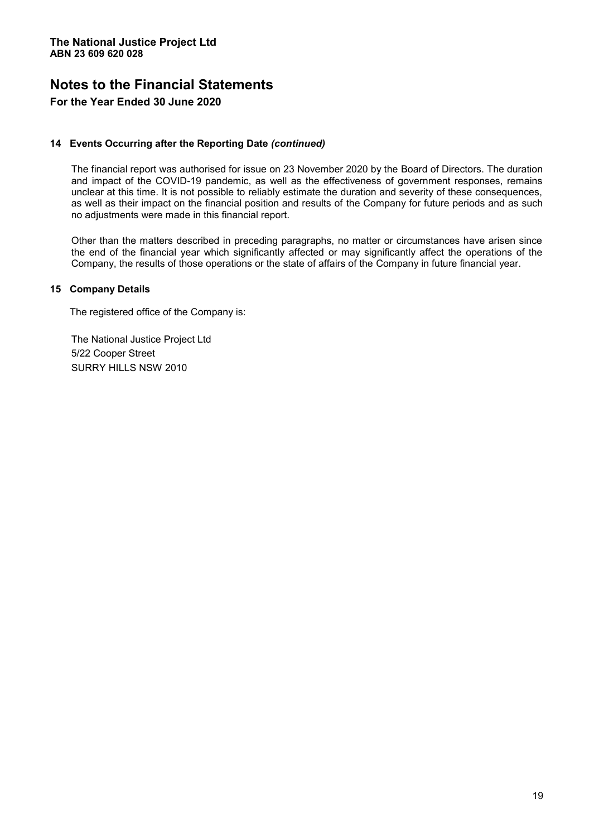#### **14 Events Occurring after the Reporting Date** *(continued)*

The financial report was authorised for issue on 23 November 2020 by the Board of Directors. The duration and impact of the COVID-19 pandemic, as well as the effectiveness of government responses, remains unclear at this time. It is not possible to reliably estimate the duration and severity of these consequences, as well as their impact on the financial position and results of the Company for future periods and as such no adjustments were made in this financial report.

Other than the matters described in preceding paragraphs, no matter or circumstances have arisen since the end of the financial year which significantly affected or may significantly affect the operations of the Company, the results of those operations or the state of affairs of the Company in future financial year.

#### **15 Company Details**

The registered office of the Company is:

The National Justice Project Ltd 5/22 Cooper Street SURRY HILLS NSW 2010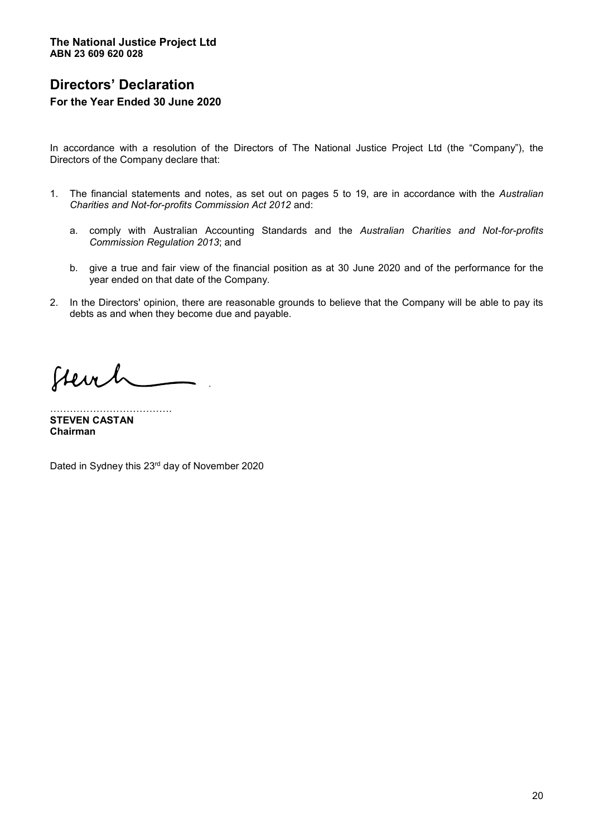# **Directors¶ Declaration For the Year Ended 30 June 2020**

In accordance with a resolution of the Directors of The National Justice Project Ltd (the "Company"), the Directors of the Company declare that:

- 1. The financial statements and notes, as set out on pages 5 to 19, are in accordance with the *Australian Charities and Not-for-profits Commission Act 2012* and:
	- a. comply with Australian Accounting Standards and the *Australian Charities and Not-for-profits Commission Regulation 2013*; and
	- b. give a true and fair view of the financial position as at 30 June 2020 and of the performance for the year ended on that date of the Company.
- 2. In the Directors' opinion, there are reasonable grounds to believe that the Company will be able to pay its debts as and when they become due and payable.

Stevel

««««««««««««. **STEVEN CASTAN Chairman** 

Dated in Sydney this 23rd day of November 2020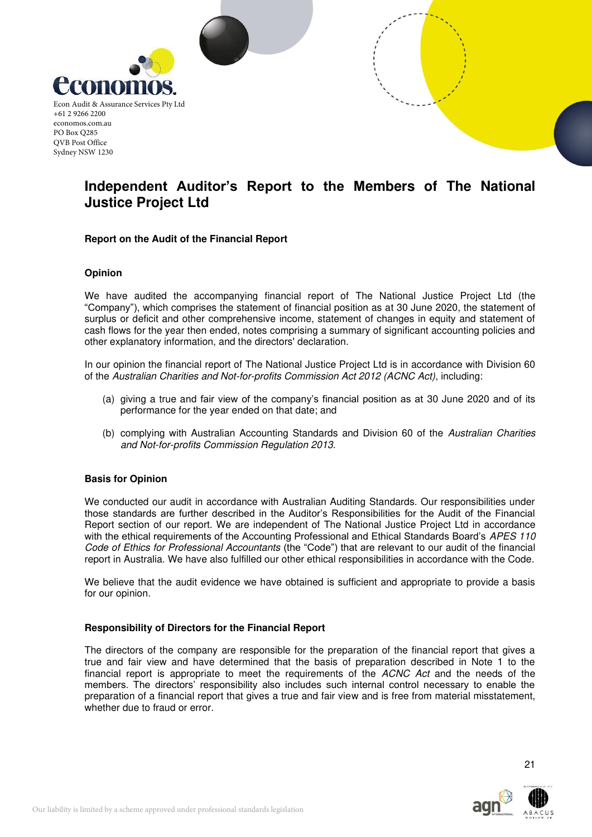

# **Independent Auditor's Report to the Members of The National Justice Project Ltd**

#### **Report on the Audit of the Financial Report**

#### **Opinion**

We have audited the accompanying financial report of The National Justice Project Ltd (the "Company"), which comprises the statement of financial position as at 30 June 2020, the statement of surplus or deficit and other comprehensive income, statement of changes in equity and statement of cash flows for the year then ended, notes comprising a summary of significant accounting policies and other explanatory information, and the directors' declaration.

In our opinion the financial report of The National Justice Project Ltd is in accordance with Division 60 of the Australian Charities and Not-for-profits Commission Act 2012 (ACNC Act), including:

- (a) giving a true and fair view of the company's financial position as at 30 June 2020 and of its performance for the year ended on that date; and
- (b) complying with Australian Accounting Standards and Division 60 of the Australian Charities and Not-for-profits Commission Regulation 2013.

#### **Basis for Opinion**

We conducted our audit in accordance with Australian Auditing Standards. Our responsibilities under those standards are further described in the Auditor's Responsibilities for the Audit of the Financial Report section of our report. We are independent of The National Justice Project Ltd in accordance with the ethical requirements of the Accounting Professional and Ethical Standards Board's APES 110 Code of Ethics for Professional Accountants (the "Code") that are relevant to our audit of the financial report in Australia. We have also fulfilled our other ethical responsibilities in accordance with the Code.

We believe that the audit evidence we have obtained is sufficient and appropriate to provide a basis for our opinion.

#### **Responsibility of Directors for the Financial Report**

The directors of the company are responsible for the preparation of the financial report that gives a true and fair view and have determined that the basis of preparation described in Note 1 to the financial report is appropriate to meet the requirements of the ACNC Act and the needs of the members. The directors' responsibility also includes such internal control necessary to enable the preparation of a financial report that gives a true and fair view and is free from material misstatement, whether due to fraud or error.

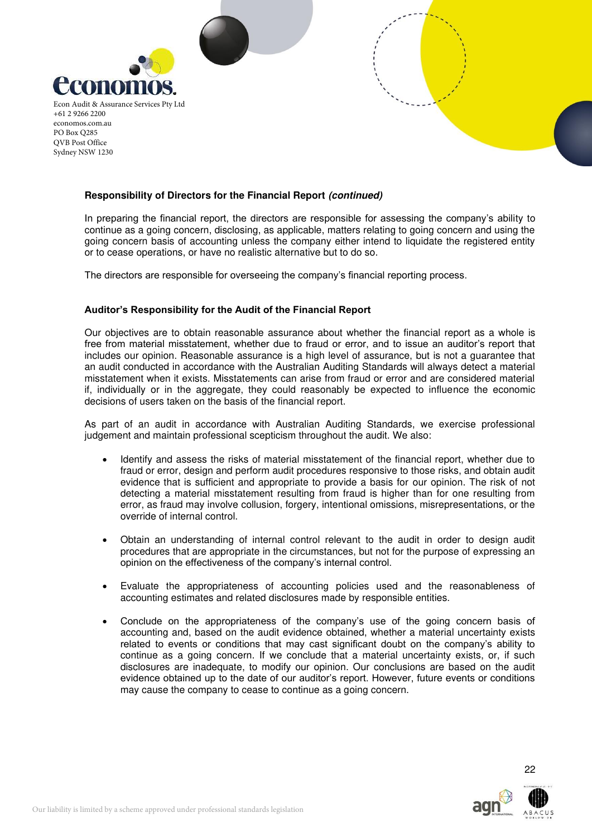



In preparing the financial report, the directors are responsible for assessing the company's ability to continue as a going concern, disclosing, as applicable, matters relating to going concern and using the going concern basis of accounting unless the company either intend to liquidate the registered entity or to cease operations, or have no realistic alternative but to do so.

The directors are responsible for overseeing the company's financial reporting process.

#### **Auditor's Responsibility for the Audit of the Financial Report**

Our objectives are to obtain reasonable assurance about whether the financial report as a whole is free from material misstatement, whether due to fraud or error, and to issue an auditor's report that includes our opinion. Reasonable assurance is a high level of assurance, but is not a guarantee that an audit conducted in accordance with the Australian Auditing Standards will always detect a material misstatement when it exists. Misstatements can arise from fraud or error and are considered material if, individually or in the aggregate, they could reasonably be expected to influence the economic decisions of users taken on the basis of the financial report.

As part of an audit in accordance with Australian Auditing Standards, we exercise professional judgement and maintain professional scepticism throughout the audit. We also:

- Identify and assess the risks of material misstatement of the financial report, whether due to fraud or error, design and perform audit procedures responsive to those risks, and obtain audit evidence that is sufficient and appropriate to provide a basis for our opinion. The risk of not detecting a material misstatement resulting from fraud is higher than for one resulting from error, as fraud may involve collusion, forgery, intentional omissions, misrepresentations, or the override of internal control.
- Obtain an understanding of internal control relevant to the audit in order to design audit procedures that are appropriate in the circumstances, but not for the purpose of expressing an opinion on the effectiveness of the company's internal control.
- Evaluate the appropriateness of accounting policies used and the reasonableness of accounting estimates and related disclosures made by responsible entities.
- Conclude on the appropriateness of the company's use of the going concern basis of accounting and, based on the audit evidence obtained, whether a material uncertainty exists related to events or conditions that may cast significant doubt on the company's ability to continue as a going concern. If we conclude that a material uncertainty exists, or, if such disclosures are inadequate, to modify our opinion. Our conclusions are based on the audit evidence obtained up to the date of our auditor's report. However, future events or conditions may cause the company to cease to continue as a going concern.